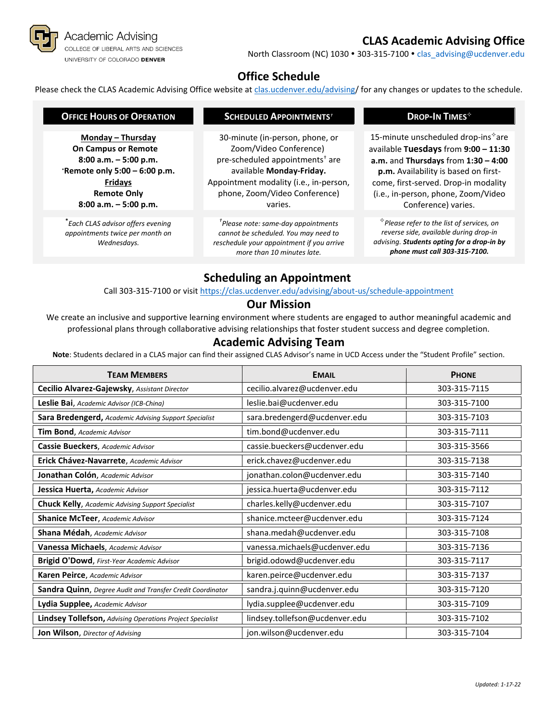

# **CLAS Academic Advising Office**

North Classroom (NC) 1030 . 303-315-7100 . [clas\\_advising@ucdenver.edu](mailto:clas_advising@ucdenver.edu)

### **Office Schedule**

Please check the CLAS Academic Advising Office website at [clas.ucdenver.edu/advising/](https://clas.ucdenver.edu/advising/) for any changes or updates to the schedule.

| <b>OFFICE HOURS OF OPERATION</b>                                                                                                                                                 | <b>SCHEDULED APPOINTMENTS<sup>+</sup></b>                                                                                                                                                                                  | DROP-IN TIMES <sup>*</sup>                                                                                                                                                                                                                                                       |
|----------------------------------------------------------------------------------------------------------------------------------------------------------------------------------|----------------------------------------------------------------------------------------------------------------------------------------------------------------------------------------------------------------------------|----------------------------------------------------------------------------------------------------------------------------------------------------------------------------------------------------------------------------------------------------------------------------------|
| Monday - Thursday<br><b>On Campus or Remote</b><br>$8:00$ a.m. $-5:00$ p.m.<br>*Remote only 5:00 - 6:00 p.m.<br><b>Fridays</b><br><b>Remote Only</b><br>$8:00$ a.m. $-5:00$ p.m. | 30-minute (in-person, phone, or<br>Zoom/Video Conference)<br>pre-scheduled appointments <sup>†</sup> are<br>available Monday-Friday.<br>Appointment modality (i.e., in-person,<br>phone, Zoom/Video Conference)<br>varies. | 15-minute unscheduled drop-ins <sup>*</sup> are<br>available Tuesdays from 9:00 - 11:30<br>$a.m.$ and Thursdays from $1:30 - 4:00$<br>p.m. Availability is based on first-<br>come, first-served. Drop-in modality<br>(i.e., in-person, phone, Zoom/Video<br>Conference) varies. |
| -<br>Each CLAS advisor offers evening<br>appointments twice per month on<br>Wednesdays.                                                                                          | $\mathrm{ }^{\tau}$ Please note: same-day appointments<br>cannot be scheduled. You may need to<br>reschedule your appointment if you arrive<br>more than 10 minutes late.                                                  | $\hat{f}$ Please refer to the list of services, on<br>reverse side, available during drop-in<br>advising. Students opting for a drop-in by<br>phone must call 303-315-7100.                                                                                                      |
|                                                                                                                                                                                  | <b>Scheduling an Annointment</b>                                                                                                                                                                                           |                                                                                                                                                                                                                                                                                  |

### **Scheduling an Appointment**

Call 303-315-7100 or visit <https://clas.ucdenver.edu/advising/about-us/schedule-appointment>

#### **Our Mission**

We create an inclusive and supportive learning environment where students are engaged to author meaningful academic and professional plans through collaborative advising relationships that foster student success and degree completion.

#### **Academic Advising Team**

**Note**: Students declared in a CLAS major can find their assigned CLAS Advisor's name in UCD Access under the "Student Profile" section.

| <b>TEAM MEMBERS</b>                                              | <b>EMAIL</b>                   | <b>PHONE</b> |
|------------------------------------------------------------------|--------------------------------|--------------|
| Cecilio Alvarez-Gajewsky, Assistant Director                     | cecilio.alvarez@ucdenver.edu   | 303-315-7115 |
| Leslie Bai, Academic Advisor (ICB-China)                         | leslie.bai@ucdenver.edu        | 303-315-7100 |
| Sara Bredengerd, Academic Advising Support Specialist            | sara.bredengerd@ucdenver.edu   | 303-315-7103 |
| Tim Bond, Academic Advisor                                       | tim.bond@ucdenver.edu          | 303-315-7111 |
| Cassie Bueckers, Academic Advisor                                | cassie.bueckers@ucdenver.edu   | 303-315-3566 |
| Erick Chávez-Navarrete, Academic Advisor                         | erick.chavez@ucdenver.edu      | 303-315-7138 |
| Jonathan Colón, Academic Advisor                                 | jonathan.colon@ucdenver.edu    | 303-315-7140 |
| Jessica Huerta, Academic Advisor                                 | jessica.huerta@ucdenver.edu    | 303-315-7112 |
| <b>Chuck Kelly, Academic Advising Support Specialist</b>         | charles.kelly@ucdenver.edu     | 303-315-7107 |
| <b>Shanice McTeer, Academic Advisor</b>                          | shanice.mcteer@ucdenver.edu    | 303-315-7124 |
| Shana Médah, Academic Advisor                                    | shana.medah@ucdenver.edu       | 303-315-7108 |
| Vanessa Michaels, Academic Advisor                               | vanessa.michaels@ucdenver.edu  | 303-315-7136 |
| Brigid O'Dowd, First-Year Academic Advisor                       | brigid.odowd@ucdenver.edu      | 303-315-7117 |
| Karen Peirce, Academic Advisor                                   | karen.peirce@ucdenver.edu      | 303-315-7137 |
| Sandra Quinn, Degree Audit and Transfer Credit Coordinator       | sandra.j.quinn@ucdenver.edu    | 303-315-7120 |
| Lydia Supplee, Academic Advisor                                  | lydia.supplee@ucdenver.edu     | 303-315-7109 |
| <b>Lindsey Tollefson, Advising Operations Project Specialist</b> | lindsey.tollefson@ucdenver.edu | 303-315-7102 |
| Jon Wilson, Director of Advising                                 | jon.wilson@ucdenver.edu        | 303-315-7104 |